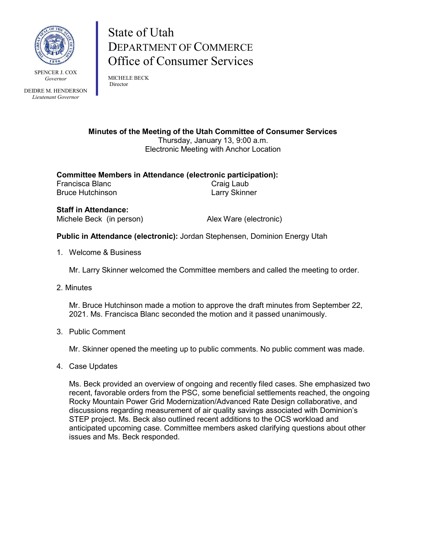

SPENCER L COX *Governor*

DEIDRE M. HENDERSON *Lieutenant Governor*

## State of Utah DEPARTMENT OF COMMERCE Office of Consumer Services

MICHELE BECK Director

**Minutes of the Meeting of the Utah Committee of Consumer Services** Thursday, January 13, 9:00 a.m. Electronic Meeting with Anchor Location

**Committee Members in Attendance (electronic participation):** Francisca Blanc Bruce Hutchinson **Larry Skinner** 

**Staff in Attendance:** Michele Beck (in person) Alex Ware (electronic)

**Public in Attendance (electronic):** Jordan Stephensen, Dominion Energy Utah

1. Welcome & Business

Mr. Larry Skinner welcomed the Committee members and called the meeting to order.

2. Minutes

Mr. Bruce Hutchinson made a motion to approve the draft minutes from September 22, 2021. Ms. Francisca Blanc seconded the motion and it passed unanimously.

3. Public Comment

Mr. Skinner opened the meeting up to public comments. No public comment was made.

4. Case Updates

Ms. Beck provided an overview of ongoing and recently filed cases. She emphasized two recent, favorable orders from the PSC, some beneficial settlements reached, the ongoing Rocky Mountain Power Grid Modernization/Advanced Rate Design collaborative, and discussions regarding measurement of air quality savings associated with Dominion's STEP project. Ms. Beck also outlined recent additions to the OCS workload and anticipated upcoming case. Committee members asked clarifying questions about other issues and Ms. Beck responded.